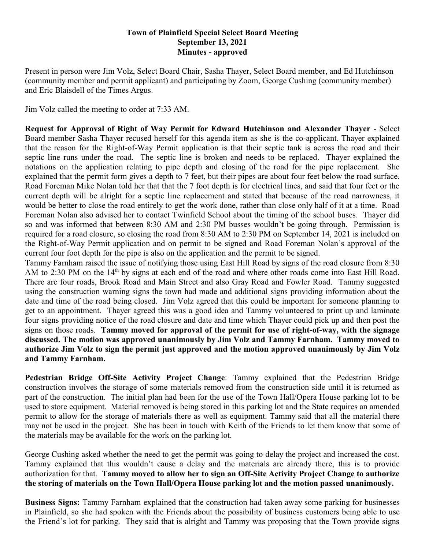## **Town of Plainfield Special Select Board Meeting September 13, 2021 Minutes - approved**

Present in person were Jim Volz, Select Board Chair, Sasha Thayer, Select Board member, and Ed Hutchinson (community member and permit applicant) and participating by Zoom, George Cushing (community member) and Eric Blaisdell of the Times Argus.

Jim Volz called the meeting to order at 7:33 AM.

**Request for Approval of Right of Way Permit for Edward Hutchinson and Alexander Thayer** - Select Board member Sasha Thayer recused herself for this agenda item as she is the co-applicant. Thayer explained that the reason for the Right-of-Way Permit application is that their septic tank is across the road and their septic line runs under the road. The septic line is broken and needs to be replaced. Thayer explained the notations on the application relating to pipe depth and closing of the road for the pipe replacement. She explained that the permit form gives a depth to 7 feet, but their pipes are about four feet below the road surface. Road Foreman Mike Nolan told her that that the 7 foot depth is for electrical lines, and said that four feet or the current depth will be alright for a septic line replacement and stated that because of the road narrowness, it would be better to close the road entirely to get the work done, rather than close only half of it at a time. Road Foreman Nolan also advised her to contact Twinfield School about the timing of the school buses. Thayer did so and was informed that between 8:30 AM and 2:30 PM busses wouldn't be going through. Permission is required for a road closure, so closing the road from 8:30 AM to 2:30 PM on September 14, 2021 is included on the Right-of-Way Permit application and on permit to be signed and Road Foreman Nolan's approval of the current four foot depth for the pipe is also on the application and the permit to be signed.

Tammy Farnham raised the issue of notifying those using East Hill Road by signs of the road closure from 8:30 AM to 2:30 PM on the 14<sup>th</sup> by signs at each end of the road and where other roads come into East Hill Road. There are four roads, Brook Road and Main Street and also Gray Road and Fowler Road. Tammy suggested using the construction warning signs the town had made and additional signs providing information about the date and time of the road being closed. Jim Volz agreed that this could be important for someone planning to get to an appointment. Thayer agreed this was a good idea and Tammy volunteered to print up and laminate four signs providing notice of the road closure and date and time which Thayer could pick up and then post the signs on those roads. **Tammy moved for approval of the permit for use of right-of-way, with the signage discussed. The motion was approved unanimously by Jim Volz and Tammy Farnham. Tammy moved to authorize Jim Volz to sign the permit just approved and the motion approved unanimously by Jim Volz and Tammy Farnham.**

**Pedestrian Bridge Off-Site Activity Project Change**: Tammy explained that the Pedestrian Bridge construction involves the storage of some materials removed from the construction side until it is returned as part of the construction. The initial plan had been for the use of the Town Hall/Opera House parking lot to be used to store equipment. Material removed is being stored in this parking lot and the State requires an amended permit to allow for the storage of materials there as well as equipment. Tammy said that all the material there may not be used in the project. She has been in touch with Keith of the Friends to let them know that some of the materials may be available for the work on the parking lot.

George Cushing asked whether the need to get the permit was going to delay the project and increased the cost. Tammy explained that this wouldn't cause a delay and the materials are already there, this is to provide authorization for that. **Tammy moved to allow her to sign an Off-Site Activity Project Change to authorize the storing of materials on the Town Hall/Opera House parking lot and the motion passed unanimously.**

**Business Signs:** Tammy Farnham explained that the construction had taken away some parking for businesses in Plainfield, so she had spoken with the Friends about the possibility of business customers being able to use the Friend's lot for parking. They said that is alright and Tammy was proposing that the Town provide signs